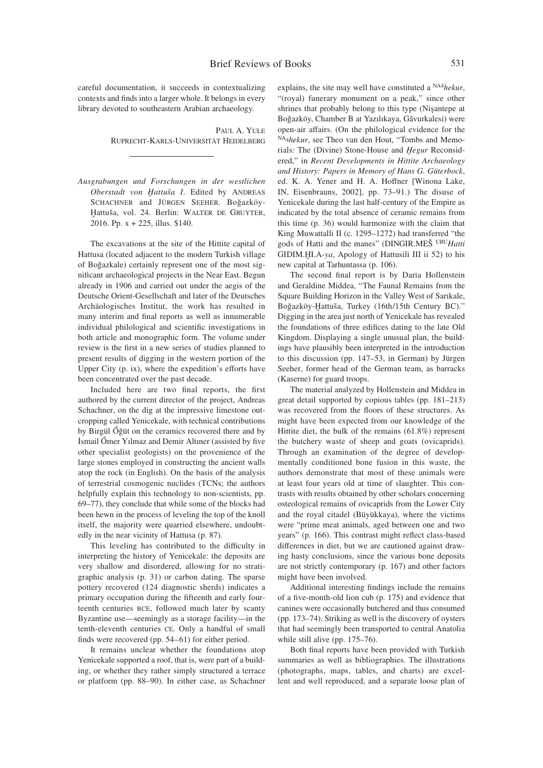careful documentation, it succeeds in contextualizing contexts and finds into a larger whole. It belongs in every library devoted to southeastern Arabian archaeology.

> Paul A. Yule Ruprecht-Karls-Universität Heidelberg

*Ausgrabungen und Forschungen in der westlichen*  Oberstadt von Hattuša I. Edited by ANDREAS SCHACHNER and JÜRGEN SEEHER. Boğazköy-Hattuša, vol. 24. Berlin: WALTER DE GRUYTER, 2016. Pp. x + 225, illus. \$140.

The excavations at the site of the Hittite capital of Hattusa (located adjacent to the modern Turkish village of Boğazkale) certainly represent one of the most significant archaeological projects in the Near East. Begun already in 1906 and carried out under the aegis of the Deutsche Orient-Gesellschaft and later of the Deutsches Archäologisches Institut, the work has resulted in many interim and final reports as well as innumerable individual philological and scientific investigations in both article and monographic form. The volume under review is the first in a new series of studies planned to present results of digging in the western portion of the Upper City (p. ix), where the expedition's efforts have been concentrated over the past decade.

Included here are two final reports, the first authored by the current director of the project, Andreas Schachner, on the dig at the impressive limestone outcropping called Yenicekale, with technical contributions by Birgül Őğüt on the ceramics recovered there and by İsmail Őmer Yılmaz and Demir Altıner (assisted by five other specialist geologists) on the provenience of the large stones employed in constructing the ancient walls atop the rock (in English). On the basis of the analysis of terrestrial cosmogenic nuclides (TCNs; the authors helpfully explain this technology to non-scientists, pp. 69–77), they conclude that while some of the blocks had been hewn in the process of leveling the top of the knoll itself, the majority were quarried elsewhere, undoubtedly in the near vicinity of Hattusa (p. 87).

This leveling has contributed to the difficulty in interpreting the history of Yenicekale: the deposits are very shallow and disordered, allowing for no stratigraphic analysis (p. 31) or carbon dating. The sparse pottery recovered (124 diagnostic sherds) indicates a primary occupation during the fifteenth and early fourteenth centuries bce, followed much later by scanty Byzantine use—seemingly as a storage facility—in the tenth-eleventh centuries ce. Only a handful of small finds were recovered (pp. 54–61) for either period.

It remains unclear whether the foundations atop Yenicekale supported a roof, that is, were part of a building, or whether they rather simply structured a terrace or platform (pp. 88–90). In either case, as Schachner explains, the site may well have constituted a NA4*hekur*, "(royal) funerary monument on a peak," since other shrines that probably belong to this type (Nişantepe at Boğazköy, Chamber B at Yazılıkaya, Gâvurkalesi) were open-air affairs. (On the philological evidence for the NA4*hekur*, see Theo van den Hout, "Tombs and Memorials: The (Divine) Stone-House and *Ḫegur* Reconsidered," in *Recent Developments in Hittite Archaeology and History: Papers in Memory of Hans G. Güterbock*, ed. K. A. Yener and H. A. Hoffner [Winona Lake, IN, Eisenbrauns, 2002], pp. 73–91.) The disuse of Yenicekale during the last half-century of the Empire as indicated by the total absence of ceramic remains from this time (p. 36) would harmonize with the claim that King Muwattalli II (c. 1295–1272) had transferred "the gods of Hatti and the manes" (DINGIR.MEŠ URU*Hatti*  GIDIM.ḪI.A-*ya*, Apology of Hattusili III ii 52) to his new capital at Tarhuntassa (p. 106).

The second final report is by Daria Hollenstein and Geraldine Middea, "The Faunal Remains from the Square Building Horizon in the Valley West of Sarıkale, Boğazköy-Ḫattuša, Turkey (16th/15th Century BC)." Digging in the area just north of Yenicekale has revealed the foundations of three edifices dating to the late Old Kingdom. Displaying a single unusual plan, the buildings have plausibly been interpreted in the introduction to this discussion (pp. 147–53, in German) by Jürgen Seeher, former head of the German team, as barracks (Kaserne) for guard troops.

The material analyzed by Hollenstein and Middea in great detail supported by copious tables (pp. 181–213) was recovered from the floors of these structures. As might have been expected from our knowledge of the Hittite diet, the bulk of the remains (61.8%) represent the butchery waste of sheep and goats (ovicaprids). Through an examination of the degree of developmentally conditioned bone fusion in this waste, the authors demonstrate that most of these animals were at least four years old at time of slaughter. This contrasts with results obtained by other scholars concerning osteological remains of ovicaprids from the Lower City and the royal citadel (Büyükkaya), where the victims were "prime meat animals, aged between one and two years" (p. 166). This contrast might reflect class-based differences in diet, but we are cautioned against drawing hasty conclusions, since the various bone deposits are not strictly contemporary (p. 167) and other factors might have been involved.

Additional interesting findings include the remains of a five-month-old lion cub (p. 175) and evidence that canines were occasionally butchered and thus consumed (pp. 173–74). Striking as well is the discovery of oysters that had seemingly been transported to central Anatolia while still alive (pp. 175–76).

Both final reports have been provided with Turkish summaries as well as bibliographies. The illustrations (photographs, maps, tables, and charts) are excellent and well reproduced, and a separate loose plan of